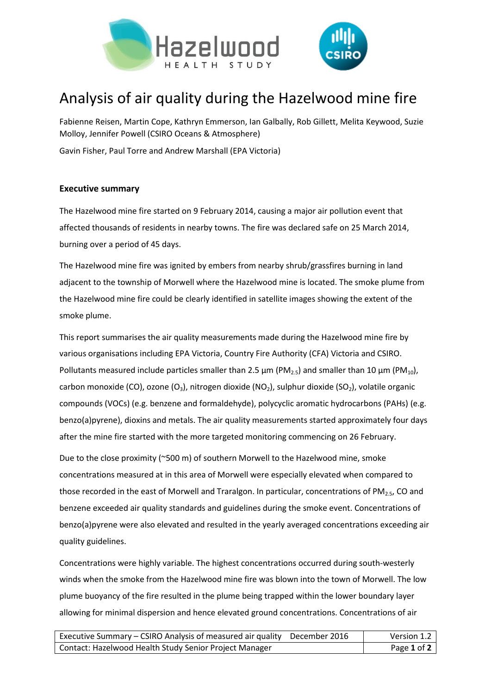



## Analysis of air quality during the Hazelwood mine fire

Fabienne Reisen, Martin Cope, Kathryn Emmerson, Ian Galbally, Rob Gillett, Melita Keywood, Suzie Molloy, Jennifer Powell (CSIRO Oceans & Atmosphere)

Gavin Fisher, Paul Torre and Andrew Marshall (EPA Victoria)

## **Executive summary**

The Hazelwood mine fire started on 9 February 2014, causing a major air pollution event that affected thousands of residents in nearby towns. The fire was declared safe on 25 March 2014, burning over a period of 45 days.

The Hazelwood mine fire was ignited by embers from nearby shrub/grassfires burning in land adjacent to the township of Morwell where the Hazelwood mine is located. The smoke plume from the Hazelwood mine fire could be clearly identified in satellite images showing the extent of the smoke plume.

This report summarises the air quality measurements made during the Hazelwood mine fire by various organisations including EPA Victoria, Country Fire Authority (CFA) Victoria and CSIRO. Pollutants measured include particles smaller than 2.5  $\mu$ m (PM<sub>2.5</sub>) and smaller than 10  $\mu$ m (PM<sub>10</sub>), carbon monoxide (CO), ozone (O<sub>3</sub>), nitrogen dioxide (NO<sub>2</sub>), sulphur dioxide (SO<sub>2</sub>), volatile organic compounds (VOCs) (e.g. benzene and formaldehyde), polycyclic aromatic hydrocarbons (PAHs) (e.g. benzo(a)pyrene), dioxins and metals. The air quality measurements started approximately four days after the mine fire started with the more targeted monitoring commencing on 26 February.

Due to the close proximity (~500 m) of southern Morwell to the Hazelwood mine, smoke concentrations measured at in this area of Morwell were especially elevated when compared to those recorded in the east of Morwell and Traralgon. In particular, concentrations of  $PM_{2.5}$ , CO and benzene exceeded air quality standards and guidelines during the smoke event. Concentrations of benzo(a)pyrene were also elevated and resulted in the yearly averaged concentrations exceeding air quality guidelines.

Concentrations were highly variable. The highest concentrations occurred during south-westerly winds when the smoke from the Hazelwood mine fire was blown into the town of Morwell. The low plume buoyancy of the fire resulted in the plume being trapped within the lower boundary layer allowing for minimal dispersion and hence elevated ground concentrations. Concentrations of air

| Executive Summary – CSIRO Analysis of measured air quality December 2016 | Version 1.2 |
|--------------------------------------------------------------------------|-------------|
| Contact: Hazelwood Health Study Senior Project Manager                   | Page 1 of 2 |